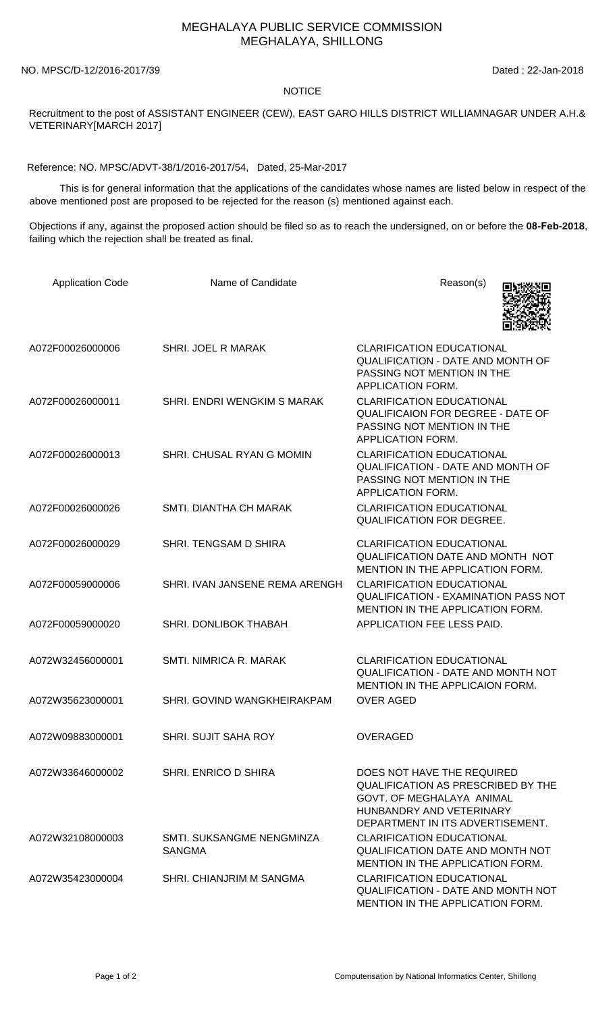## MEGHALAYA PUBLIC SERVICE COMMISSION MEGHALAYA, SHILLONG

NO. MPSC/D-12/2016-2017/39 Dated : 22-Jan-2018

## **NOTICE**

Recruitment to the post of ASSISTANT ENGINEER (CEW), EAST GARO HILLS DISTRICT WILLIAMNAGAR UNDER A.H.& VETERINARY[MARCH 2017]

Reference: NO. MPSC/ADVT-38/1/2016-2017/54, Dated, 25-Mar-2017

 This is for general information that the applications of the candidates whose names are listed below in respect of the above mentioned post are proposed to be rejected for the reason (s) mentioned against each.

Objections if any, against the proposed action should be filed so as to reach the undersigned, on or before the **08-Feb-2018**, failing which the rejection shall be treated as final.

| <b>Application Code</b> | Name of Candidate                          | Reason(s)                                                                                                                                                            |
|-------------------------|--------------------------------------------|----------------------------------------------------------------------------------------------------------------------------------------------------------------------|
| A072F00026000006        | SHRI. JOEL R MARAK                         | <b>CLARIFICATION EDUCATIONAL</b><br><b>QUALIFICATION - DATE AND MONTH OF</b><br>PASSING NOT MENTION IN THE<br>APPLICATION FORM.                                      |
| A072F00026000011        | SHRI. ENDRI WENGKIM S MARAK                | <b>CLARIFICATION EDUCATIONAL</b><br><b>QUALIFICAION FOR DEGREE - DATE OF</b><br>PASSING NOT MENTION IN THE<br>APPLICATION FORM.                                      |
| A072F00026000013        | SHRI. CHUSAL RYAN G MOMIN                  | <b>CLARIFICATION EDUCATIONAL</b><br><b>QUALIFICATION - DATE AND MONTH OF</b><br>PASSING NOT MENTION IN THE<br>APPLICATION FORM.                                      |
| A072F00026000026        | SMTI. DIANTHA CH MARAK                     | <b>CLARIFICATION EDUCATIONAL</b><br><b>QUALIFICATION FOR DEGREE.</b>                                                                                                 |
| A072F00026000029        | SHRI. TENGSAM D SHIRA                      | <b>CLARIFICATION EDUCATIONAL</b><br>QUALIFICATION DATE AND MONTH NOT<br>MENTION IN THE APPLICATION FORM.                                                             |
| A072F00059000006        | SHRI. IVAN JANSENE REMA ARENGH             | <b>CLARIFICATION EDUCATIONAL</b><br><b>QUALIFICATION - EXAMINATION PASS NOT</b><br>MENTION IN THE APPLICATION FORM.                                                  |
| A072F00059000020        | SHRI. DONLIBOK THABAH                      | APPLICATION FEE LESS PAID.                                                                                                                                           |
| A072W32456000001        | SMTI. NIMRICA R. MARAK                     | <b>CLARIFICATION EDUCATIONAL</b><br><b>QUALIFICATION - DATE AND MONTH NOT</b><br>MENTION IN THE APPLICAION FORM.                                                     |
| A072W35623000001        | SHRI. GOVIND WANGKHEIRAKPAM                | <b>OVER AGED</b>                                                                                                                                                     |
| A072W09883000001        | <b>SHRI. SUJIT SAHA ROY</b>                | OVERAGED                                                                                                                                                             |
| A072W33646000002        | SHRI. ENRICO D SHIRA                       | DOES NOT HAVE THE REQUIRED<br><b>QUALIFICATION AS PRESCRIBED BY THE</b><br>GOVT. OF MEGHALAYA ANIMAL<br>HUNBANDRY AND VETERINARY<br>DEPARTMENT IN ITS ADVERTISEMENT. |
| A072W32108000003        | SMTI. SUKSANGME NENGMINZA<br><b>SANGMA</b> | <b>CLARIFICATION EDUCATIONAL</b><br>QUALIFICATION DATE AND MONTH NOT<br>MENTION IN THE APPLICATION FORM.                                                             |
| A072W35423000004        | SHRI. CHIANJRIM M SANGMA                   | <b>CLARIFICATION EDUCATIONAL</b><br>QUALIFICATION - DATE AND MONTH NOT<br>MENTION IN THE APPLICATION FORM.                                                           |